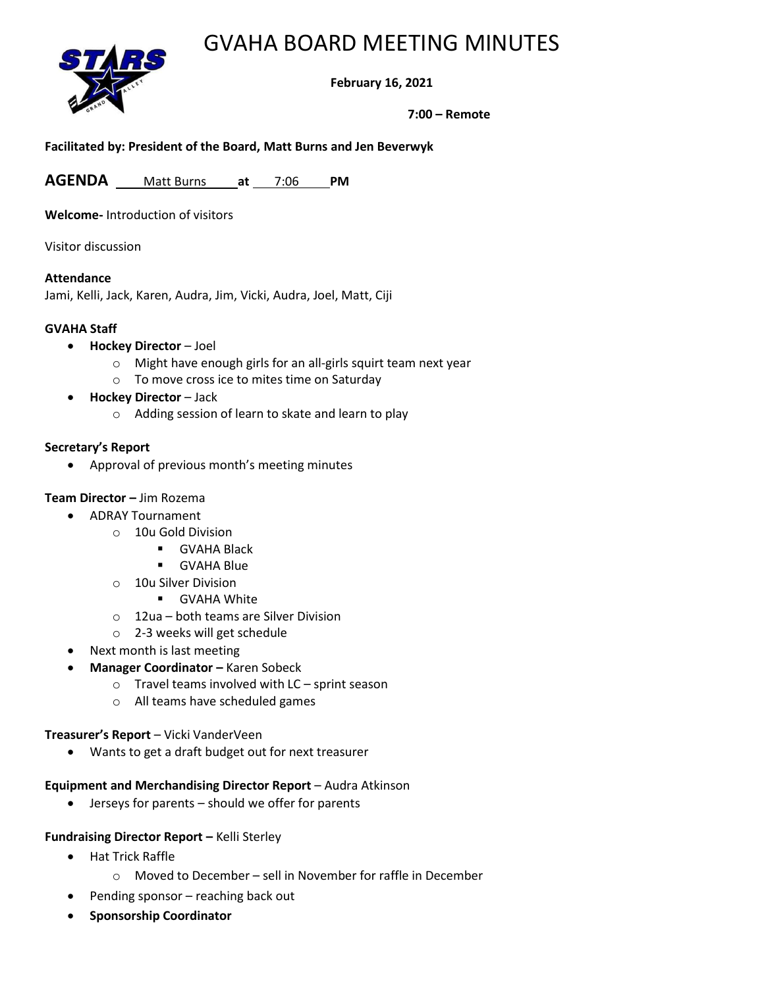## GVAHA BOARD MEETING MINUTES



## **February 16, 2021**

**7:00 – Remote**

#### **Facilitated by: President of the Board, Matt Burns and Jen Beverwyk**

**AGENDA** Matt Burns **at** 7:06 **PM**

**Welcome-** Introduction of visitors

Visitor discussion

#### **Attendance**

Jami, Kelli, Jack, Karen, Audra, Jim, Vicki, Audra, Joel, Matt, Ciji

#### **GVAHA Staff**

- **Hockey Director** Joel
	- o Might have enough girls for an all-girls squirt team next year
	- o To move cross ice to mites time on Saturday
- **Hockey Director** Jack
	- o Adding session of learn to skate and learn to play

#### **Secretary's Report**

• Approval of previous month's meeting minutes

## **Team Director –** Jim Rozema

- ADRAY Tournament
	- o 10u Gold Division
		- GVAHA Black
		- GVAHA Blue
	- o 10u Silver Division
		- **■** GVAHA White
	- o 12ua both teams are Silver Division
	- o 2-3 weeks will get schedule
- Next month is last meeting
- **Manager Coordinator –** Karen Sobeck
	- o Travel teams involved with LC sprint season
	- o All teams have scheduled games

## **Treasurer's Report** – Vicki VanderVeen

• Wants to get a draft budget out for next treasurer

#### **Equipment and Merchandising Director Report** – Audra Atkinson

• Jerseys for parents – should we offer for parents

## **Fundraising Director Report –** Kelli Sterley

- Hat Trick Raffle
	- o Moved to December sell in November for raffle in December
	- Pending sponsor reaching back out
- **Sponsorship Coordinator**